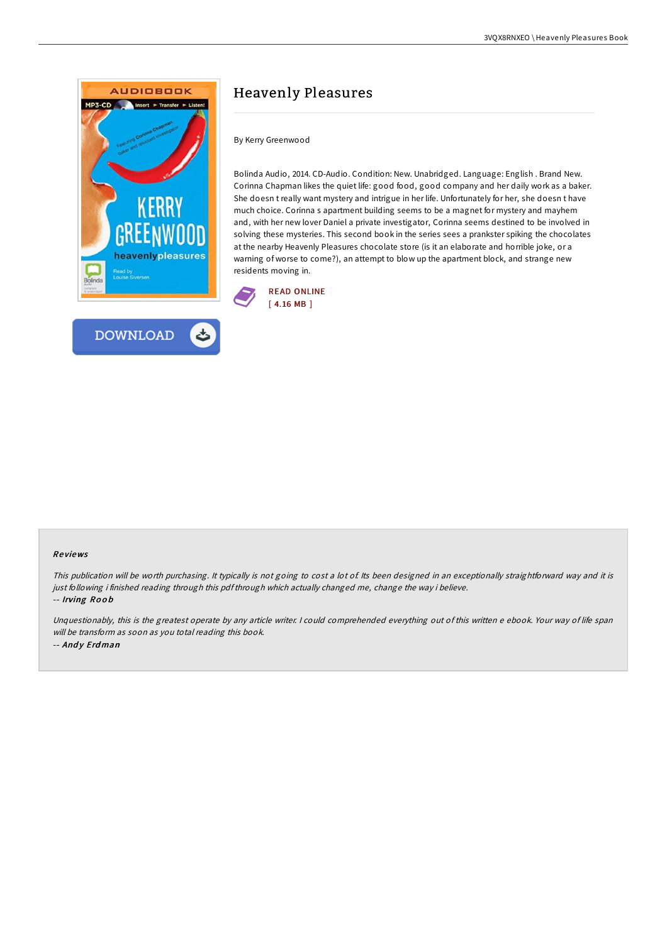



By Kerry Greenwood

Bolinda Audio, 2014. CD-Audio. Condition: New. Unabridged. Language: English . Brand New. Corinna Chapman likes the quiet life: good food, good company and her daily work as a baker. She doesn t really want mystery and intrigue in her life. Unfortunately for her, she doesn t have much choice. Corinna s apartment building seems to be a magnet for mystery and mayhem and, with her new lover Daniel a private investigator, Corinna seems destined to be involved in solving these mysteries. This second book in the series sees a prankster spiking the chocolates at the nearby Heavenly Pleasures chocolate store (is it an elaborate and horrible joke, or a warning of worse to come?), an attempt to blow up the apartment block, and strange new residents moving in.



#### Re views

This publication will be worth purchasing. It typically is not going to cost a lot of. Its been designed in an exceptionally straightforward way and it is just following i finished reading through this pdf through which actually changed me, change the way i believe. -- Irving Ro <sup>o</sup> b

Unquestionably, this is the greatest operate by any article writer. I could comprehended everything out of this written e ebook. Your way of life span will be transform as soon as you total reading this book. -- Andy Erdman